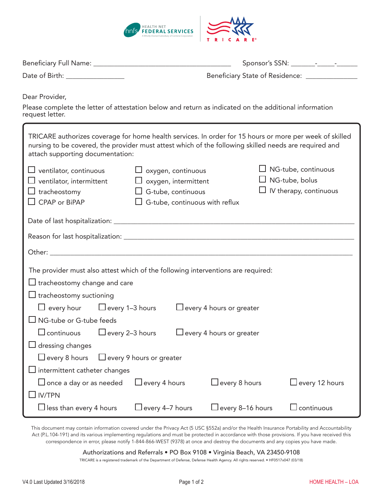

| Date of Birth: _________________                                                                                                                                                                                                                     | Beneficiary State of Residence: _______________                                                                                |                                                                                      |
|------------------------------------------------------------------------------------------------------------------------------------------------------------------------------------------------------------------------------------------------------|--------------------------------------------------------------------------------------------------------------------------------|--------------------------------------------------------------------------------------|
| Dear Provider,<br>Please complete the letter of attestation below and return as indicated on the additional information<br>request letter.                                                                                                           |                                                                                                                                |                                                                                      |
| TRICARE authorizes coverage for home health services. In order for 15 hours or more per week of skilled<br>nursing to be covered, the provider must attest which of the following skilled needs are required and<br>attach supporting documentation: |                                                                                                                                |                                                                                      |
| $\Box$ ventilator, continuous<br>$\Box$ ventilator, intermittent<br>$\Box$ tracheostomy<br>$\Box$ CPAP or BiPAP                                                                                                                                      | $\Box$ oxygen, continuous<br>$\Box$ oxygen, intermittent<br>$\Box$ G-tube, continuous<br>$\Box$ G-tube, continuous with reflux | $\Box$ NG-tube, continuous<br>$\Box$ NG-tube, bolus<br>$\Box$ IV therapy, continuous |
|                                                                                                                                                                                                                                                      |                                                                                                                                |                                                                                      |
|                                                                                                                                                                                                                                                      |                                                                                                                                |                                                                                      |
|                                                                                                                                                                                                                                                      |                                                                                                                                |                                                                                      |
| The provider must also attest which of the following interventions are required:<br>$\Box$ tracheostomy change and care<br>$\Box$ tracheostomy suctioning                                                                                            |                                                                                                                                |                                                                                      |
| $\Box$ every hour $\Box$ every 1-3 hours<br>$\Box$ every 4 hours or greater                                                                                                                                                                          |                                                                                                                                |                                                                                      |
| $\Box$ NG-tube or G-tube feeds<br>$\Box$ continuous $\Box$ every 2–3 hours<br>$\Box$ every 4 hours or greater                                                                                                                                        |                                                                                                                                |                                                                                      |
| dressing changes                                                                                                                                                                                                                                     |                                                                                                                                |                                                                                      |
| $\Box$ every 8 hours<br>$\Box$ every 9 hours or greater                                                                                                                                                                                              |                                                                                                                                |                                                                                      |
| $\Box$ intermittent catheter changes                                                                                                                                                                                                                 |                                                                                                                                |                                                                                      |
| $\Box$ once a day or as needed                                                                                                                                                                                                                       | $\Box$ every 8 hours<br>$\Box$ every 4 hours                                                                                   | Jevery 12 hours                                                                      |
| <b>IV/TPN</b>                                                                                                                                                                                                                                        |                                                                                                                                |                                                                                      |
| $\Box$ less than every 4 hours                                                                                                                                                                                                                       | $\Box$ every 4–7 hours<br>$\Box$ every 8–16 hours                                                                              | $\sqcup$ continuous                                                                  |

This document may contain information covered under the Privacy Act (5 USC §552a) and/or the Health Insurance Portability and Accountability Act (P.L.104-191) and its various implementing regulations and must be protected in accordance with those provisions. If you have received this correspondence in error, please notify 1-844-866-WEST (9378) at once and destroy the documents and any copies you have made.

Authorizations and Referrals • PO Box 9108 • Virginia Beach, VA 23450-9108

TRICARE is a registered trademark of the Department of Defense, Defense Health Agency. All rights reserved. • HF0517x047 (03/18)